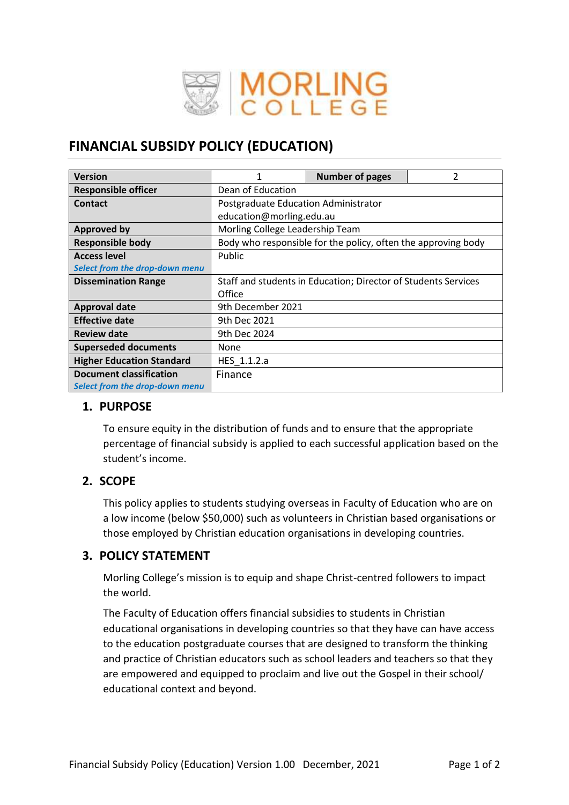

# **FINANCIAL SUBSIDY POLICY (EDUCATION)**

| <b>Version</b>                   |                                                                | <b>Number of pages</b> | 2 |  |
|----------------------------------|----------------------------------------------------------------|------------------------|---|--|
| <b>Responsible officer</b>       | Dean of Education                                              |                        |   |  |
| Contact                          | Postgraduate Education Administrator                           |                        |   |  |
|                                  | education@morling.edu.au                                       |                        |   |  |
| Approved by                      | Morling College Leadership Team                                |                        |   |  |
| <b>Responsible body</b>          | Body who responsible for the policy, often the approving body  |                        |   |  |
| <b>Access level</b>              | Public                                                         |                        |   |  |
| Select from the drop-down menu   |                                                                |                        |   |  |
| <b>Dissemination Range</b>       | Staff and students in Education; Director of Students Services |                        |   |  |
|                                  | Office                                                         |                        |   |  |
| <b>Approval date</b>             | 9th December 2021                                              |                        |   |  |
| <b>Effective date</b>            | 9th Dec 2021                                                   |                        |   |  |
| <b>Review date</b>               | 9th Dec 2024                                                   |                        |   |  |
| <b>Superseded documents</b>      | None                                                           |                        |   |  |
| <b>Higher Education Standard</b> | HES 1.1.2.a                                                    |                        |   |  |
| <b>Document classification</b>   | Finance                                                        |                        |   |  |
| Select from the drop-down menu   |                                                                |                        |   |  |

#### **1. PURPOSE**

To ensure equity in the distribution of funds and to ensure that the appropriate percentage of financial subsidy is applied to each successful application based on the student's income.

#### **2. SCOPE**

This policy applies to students studying overseas in Faculty of Education who are on a low income (below \$50,000) such as volunteers in Christian based organisations or those employed by Christian education organisations in developing countries.

#### **3. POLICY STATEMENT**

Morling College's mission is to equip and shape Christ-centred followers to impact the world.

The Faculty of Education offers financial subsidies to students in Christian educational organisations in developing countries so that they have can have access to the education postgraduate courses that are designed to transform the thinking and practice of Christian educators such as school leaders and teachers so that they are empowered and equipped to proclaim and live out the Gospel in their school/ educational context and beyond.